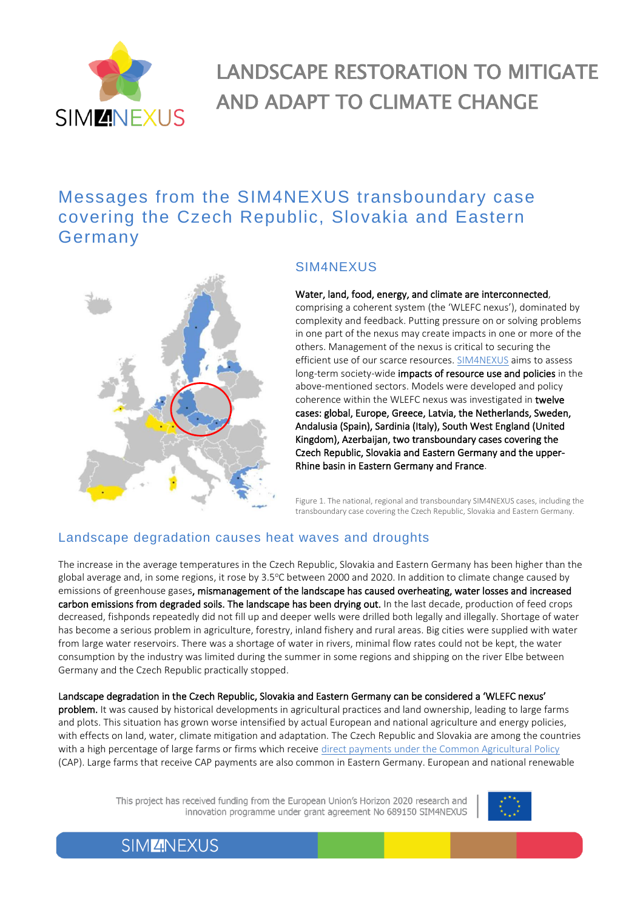

# LANDSCAPE RESTORATION TO MITIGATE AND ADAPT TO CLIMATE CHANGE

# Messages from the SIM4NEXUS transboundary case covering the Czech Republic, Slovakia and Eastern Germany



#### SIM4NEXUS

#### Water, land, food, energy, and climate are interconnected,

comprising a coherent system (the 'WLEFC nexus'), dominated by complexity and feedback. Putting pressure on or solving problems in one part of the nexus may create impacts in one or more of the others. Management of the nexus is critical to securing the efficient use of our scarce resources. [SIM4NEXUS](https://www.sim4nexus.eu/) aims to assess long-term society-wide impacts of resource use and policies in the above-mentioned sectors. Models were developed and policy coherence within the WLEFC nexus was investigated in twelve cases: global, Europe, Greece, Latvia, the Netherlands, Sweden, Andalusia (Spain), Sardinia (Italy), South West England (United Kingdom), Azerbaijan, two transboundary cases covering the Czech Republic, Slovakia and Eastern Germany and the upper-Rhine basin in Eastern Germany and France.

Figure 1. The national, regional and transboundary SIM4NEXUS cases, including the transboundary case covering the Czech Republic, Slovakia and Eastern Germany.

#### Landscape degradation causes heat waves and droughts

The increase in the average temperatures in the Czech Republic, Slovakia and Eastern Germany has been higher than the global average and, in some regions, it rose by 3.5°C between 2000 and 2020. In addition to climate change caused by emissions of greenhouse gases, mismanagement of the landscape has caused overheating, water losses and increased carbon emissions from degraded soils. The landscape has been drying out. In the last decade, production of feed crops decreased, fishponds repeatedly did not fill up and deeper wells were drilled both legally and illegally. Shortage of water has become a serious problem in agriculture, forestry, inland fishery and rural areas. Big cities were supplied with water from large water reservoirs. There was a shortage of water in rivers, minimal flow rates could not be kept, the water consumption by the industry was limited during the summer in some regions and shipping on the river Elbe between Germany and the Czech Republic practically stopped.

#### Landscape degradation in the Czech Republic, Slovakia and Eastern Germany can be considered a 'WLEFC nexus'

problem. It was caused by historical developments in agricultural practices and land ownership, leading to large farms and plots. This situation has grown worse intensified by actual European and national agriculture and energy policies, with effects on land, water, climate mitigation and adaptation. The Czech Republic and Slovakia are among the countries with a high percentage of large farms or firms which receive direct payments [under the Common Agricultural Policy](https://www.europarl.europa.eu/factsheets/en/sheet/106/financing-of-the-cap) (CAP). Large farms that receive CAP payments are also common in Eastern Germany. European and national renewable

> This project has received funding from the European Union's Horizon 2020 research and innovation programme under grant agreement No 689150 SIM4NEXUS

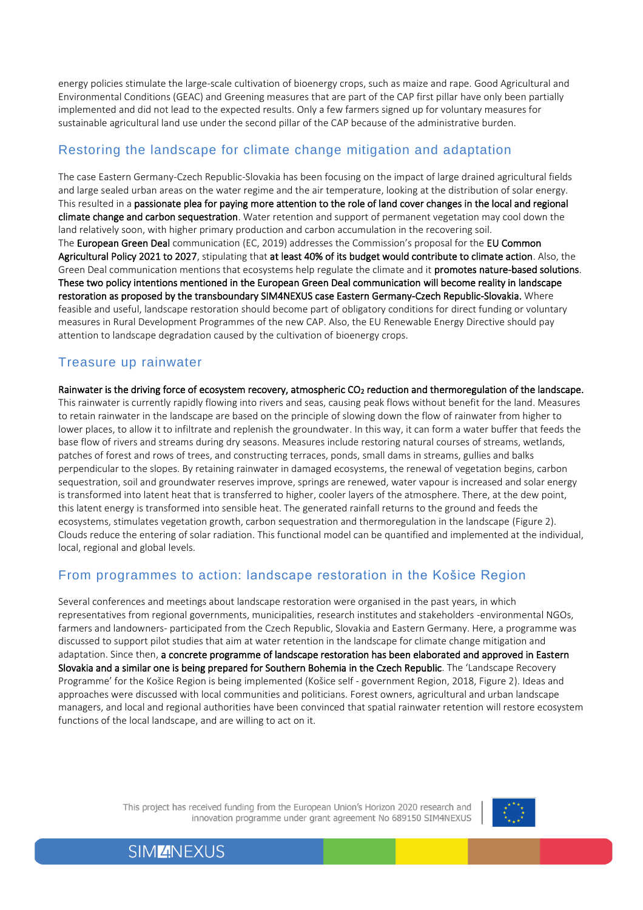energy policies stimulate the large-scale cultivation of bioenergy crops, such as maize and rape. Good Agricultural and Environmental Conditions (GEAC) and Greening measures that are part of the CAP first pillar have only been partially implemented and did not lead to the expected results. Only a few farmers signed up for voluntary measures for sustainable agricultural land use under the second pillar of the CAP because of the administrative burden.

#### Restoring the landscape for climate change mitigation and adaptation

The case Eastern Germany-Czech Republic-Slovakia has been focusing on the impact of large drained agricultural fields and large sealed urban areas on the water regime and the air temperature, looking at the distribution of solar energy. This resulted in a passionate plea for paying more attention to the role of land cover changes in the local and regional climate change and carbon sequestration. Water retention and support of permanent vegetation may cool down the land relatively soon, with higher primary production and carbon accumulation in the recovering soil. The European Green Deal communication (EC, 2019) addresses the Commission's proposal for the EU Common Agricultural Policy 2021 to 2027, stipulating that at least 40% of its budget would contribute to climate action. Also, the Green Deal communication mentions that ecosystems help regulate the climate and it promotes nature-based solutions. These two policy intentions mentioned in the European Green Deal communication will become reality in landscape restoration as proposed by the transboundary SIM4NEXUS case Eastern Germany-Czech Republic-Slovakia. Where feasible and useful, landscape restoration should become part of obligatory conditions for direct funding or voluntary measures in Rural Development Programmes of the new CAP. Also, the EU Renewable Energy Directive should pay attention to landscape degradation caused by the cultivation of bioenergy crops.

#### Treasure up rainwater

Rainwater is the driving force of ecosystem recovery, atmospheric CO2 reduction and thermoregulation of the landscape. This rainwater is currently rapidly flowing into rivers and seas, causing peak flows without benefit for the land. Measures to retain rainwater in the landscape are based on the principle of slowing down the flow of rainwater from higher to lower places, to allow it to infiltrate and replenish the groundwater. In this way, it can form a water buffer that feeds the base flow of rivers and streams during dry seasons. Measures include restoring natural courses of streams, wetlands, patches of forest and rows of trees, and constructing terraces, ponds, small dams in streams, gullies and balks perpendicular to the slopes. By retaining rainwater in damaged ecosystems, the renewal of vegetation begins, carbon sequestration, soil and groundwater reserves improve, springs are renewed, water vapour is increased and solar energy is transformed into latent heat that is transferred to higher, cooler layers of the atmosphere. There, at the dew point, this latent energy is transformed into sensible heat. The generated rainfall returns to the ground and feeds the ecosystems, stimulates vegetation growth, carbon sequestration and thermoregulation in the landscape (Figure 2). Clouds reduce the entering of solar radiation. This functional model can be quantified and implemented at the individual, local, regional and global levels.

#### From programmes to action: landscape restoration in the Košice Region

Several conferences and meetings about landscape restoration were organised in the past years, in which representatives from regional governments, municipalities, research institutes and stakeholders -environmental NGOs, farmers and landowners- participated from the Czech Republic, Slovakia and Eastern Germany. Here, a programme was discussed to support pilot studies that aim at water retention in the landscape for climate change mitigation and adaptation. Since then, a concrete programme of landscape restoration has been elaborated and approved in Eastern Slovakia and a similar one is being prepared for Southern Bohemia in the Czech Republic. The 'Landscape Recovery Programme' for the Košice Region is being implemented (Košice self - government Region, 2018, Figure 2). Ideas and approaches were discussed with local communities and politicians. Forest owners, agricultural and urban landscape managers, and local and regional authorities have been convinced that spatial rainwater retention will restore ecosystem functions of the local landscape, and are willing to act on it.

> This project has received funding from the European Union's Horizon 2020 research and innovation programme under grant agreement No 689150 SIM4NEXUS



2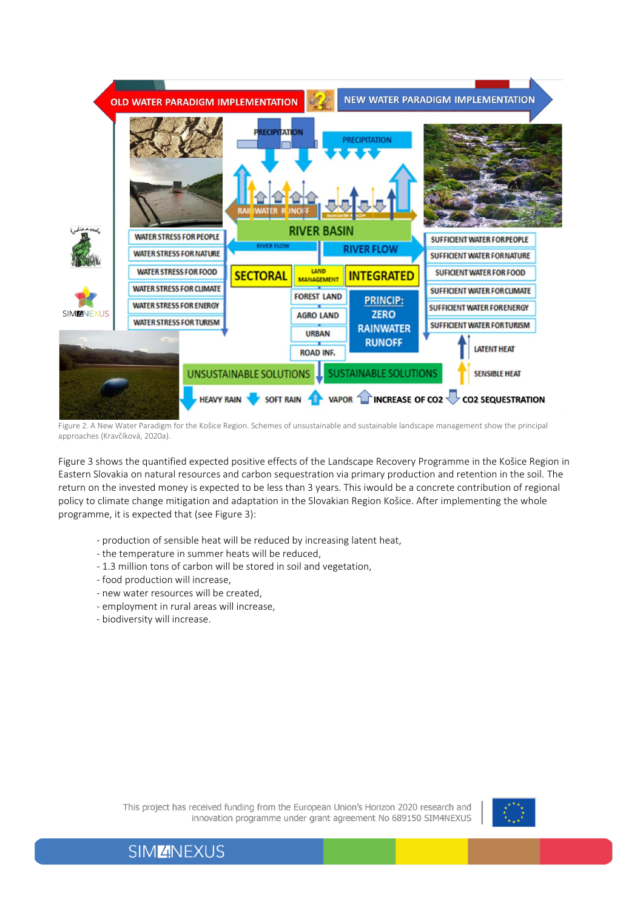

Figure 2. A New Water Paradigm for the Košice Region. Schemes of unsustainable and sustainable landscape management show the principal approaches (Kravčíková, 2020a).

Figure 3 shows the quantified expected positive effects of the Landscape Recovery Programme in the Košice Region in Eastern Slovakia on natural resources and carbon sequestration via primary production and retention in the soil. The return on the invested money is expected to be less than 3 years. This iwould be a concrete contribution of regional policy to climate change mitigation and adaptation in the Slovakian Region Košice. After implementing the whole programme, it is expected that (see Figure 3):

- production of sensible heat will be reduced by increasing latent heat,
- the temperature in summer heats will be reduced,
- 1.3 million tons of carbon will be stored in soil and vegetation,
- food production will increase,
- new water resources will be created,
- employment in rural areas will increase,
- biodiversity will increase.



3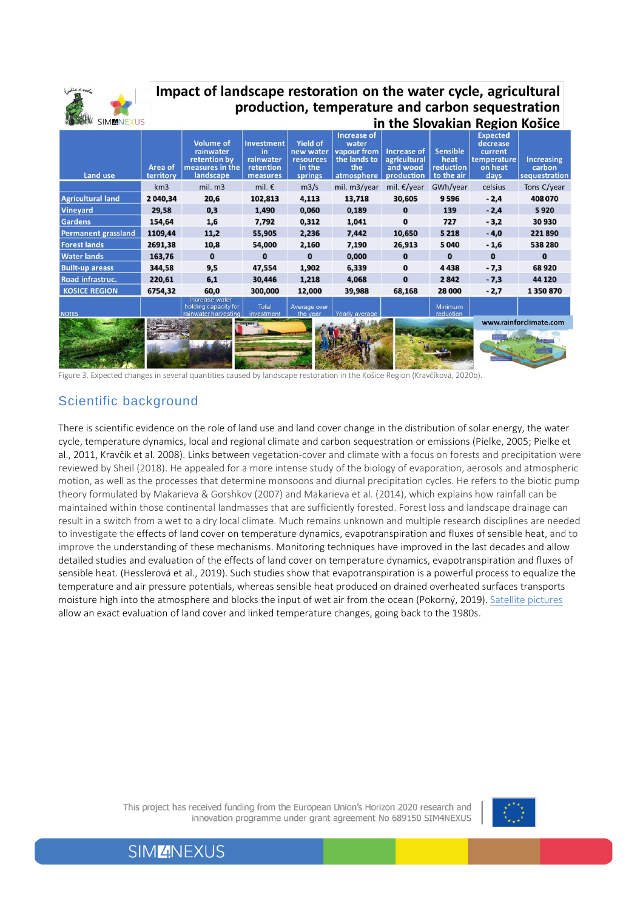

### Impact of landscape restoration on the water cycle, agricultural production, temperature and carbon sequestration in the Slovakian Region Košice

| Land use                   | Area of<br>territory | <b>Volume of</b><br>rainwater<br>retention by<br>measures in the<br>landscape | Investment<br><i>in</i><br>rainwater<br>retention<br>measures | <b>Yield of</b><br>new water<br>resources<br>in the<br>springs | Increase of<br>water<br>vapour from<br>the lands to<br>the<br>atmosphere | Increase of<br>agricultural<br>and wood<br>production | <b>Sensible</b><br>heat<br>reduction<br>to the air | <b>Expected</b><br>decrease<br>current<br>temperature<br>on heat<br>days | <b>Increasing</b><br>carbon<br>sequestration |
|----------------------------|----------------------|-------------------------------------------------------------------------------|---------------------------------------------------------------|----------------------------------------------------------------|--------------------------------------------------------------------------|-------------------------------------------------------|----------------------------------------------------|--------------------------------------------------------------------------|----------------------------------------------|
|                            | km3                  | mil. m3                                                                       | mil. $\epsilon$                                               | m3/s                                                           | mil. m3/year                                                             | mil. $\epsilon$ /year                                 | GWh/year                                           | celsius                                                                  | Tons C/year                                  |
| <b>Agricultural land</b>   | 2 040,34             | 20,6                                                                          | 102,813                                                       | 4,113                                                          | 13,718                                                                   | 30,605                                                | 9596                                               | $-2,4$                                                                   | 408070                                       |
| <b>Vineyard</b>            | 29,58                | 0,3                                                                           | 1,490                                                         | 0,060                                                          | 0,189                                                                    | $\bf{0}$                                              | 139                                                | $-2,4$                                                                   | 5920                                         |
| <b>Gardens</b>             | 154,64               | 1,6                                                                           | 7,792                                                         | 0,312                                                          | 1,041                                                                    | $\bf{0}$                                              | 727                                                | $-3,2$                                                                   | 30930                                        |
| <b>Permanent grassland</b> | 1109,44              | 11,2                                                                          | 55,905                                                        | 2,236                                                          | 7,442                                                                    | 10,650                                                | 5 2 1 8                                            | $-4,0$                                                                   | 221890                                       |
| <b>Forest lands</b>        | 2691,38              | 10,8                                                                          | 54,000                                                        | 2,160                                                          | 7,190                                                                    | 26,913                                                | 5 0 4 0                                            | $-1,6$                                                                   | 538 280                                      |
| <b>Water lands</b>         | 163,76               | $\bf{0}$                                                                      | 0                                                             | $\bf{0}$                                                       | 0,000                                                                    | 0                                                     | 0                                                  | $\bf{0}$                                                                 | $\bf{0}$                                     |
| <b>Built-up areass</b>     | 344,58               | 9,5                                                                           | 47,554                                                        | 1,902                                                          | 6,339                                                                    | $\bf{0}$                                              | 4438                                               | $-7,3$                                                                   | 68920                                        |
| Road infrastruc.           | 220,61               | 6,1                                                                           | 30,446                                                        | 1,218                                                          | 4,068                                                                    | $\bf{0}$                                              | 2842                                               | $-7,3$                                                                   | 44 120                                       |
| <b>KOSICE REGION</b>       | 6754,32              | 60,0                                                                          | 300,000                                                       | 12,000                                                         | 39,988                                                                   | 68,168                                                | 28 000                                             | $-2,7$                                                                   | 1350870                                      |
| <b>NOTES</b>               |                      | Increase water-<br>holding capacity for<br>rainwater harvesting               | Total<br>investment                                           | Average over<br>the year                                       | Yearly average                                                           |                                                       | Minimum<br>reduction                               |                                                                          |                                              |
|                            |                      |                                                                               | <b>METHODS</b>                                                |                                                                |                                                                          |                                                       |                                                    |                                                                          | www.rainforclimate.com                       |
|                            |                      |                                                                               |                                                               |                                                                |                                                                          |                                                       |                                                    |                                                                          |                                              |

Figure 3. Expected changes in several quantities caused by landscape restoration in the Košice Region (Kravčíková, 2020b).

### Scientific background

There is scientific evidence on the role of land use and land cover change in the distribution of solar energy, the water cycle, temperature dynamics, local and regional climate and carbon sequestration or emissions (Pielke, 2005; Pielke et al., 2011, Kravčík et al. 2008). Links between vegetation-cover and climate with a focus on forests and precipitation were reviewed by Sheil (2018). He appealed for a more intense study of the biology of evaporation, aerosols and atmospheric motion, as well as the processes that determine monsoons and diurnal precipitation cycles. He refers to the biotic pump theory formulated by Makarieva & Gorshkov (2007) and Makarieva et al. (2014), which explains how rainfall can be maintained within those continental landmasses that are sufficiently forested. Forest loss and landscape drainage can result in a switch from a wet to a dry local climate. Much remains unknown and multiple research disciplines are needed to investigate the effects of land cover on temperature dynamics, evapotranspiration and fluxes of sensible heat, and to improve the understanding of these mechanisms. Monitoring techniques have improved in the last decades and allow detailed studies and evaluation of the effects of land cover on temperature dynamics, evapotranspiration and fluxes of sensible heat. (Hesslerová et al., 2019). Such studies show that evapotranspiration is a powerful process to equalize the temperature and air pressure potentials, whereas sensible heat produced on drained overheated surfaces transports moisture high into the atmosphere and blocks the input of wet air from the ocean (Pokorný, 2019). [Satellite pictures](https://landsat.gsfc.nasa.gov/) allow an exact evaluation of land cover and linked temperature changes, going back to the 1980s.

> This project has received funding from the European Union's Horizon 2020 research and innovation programme under grant agreement No 689150 SIM4NEXUS



4